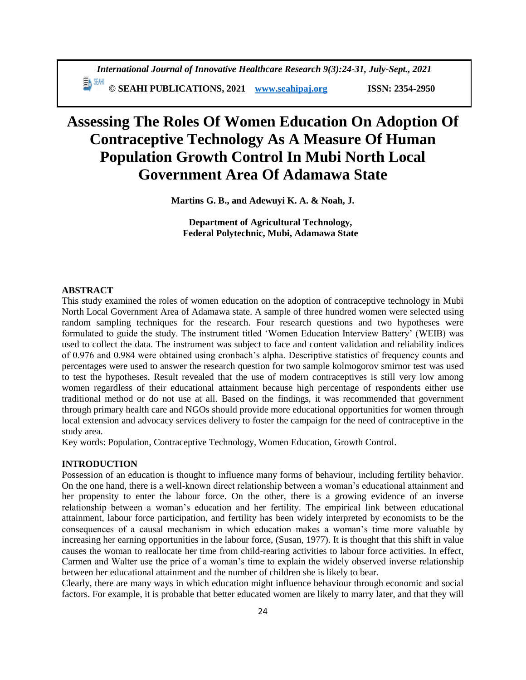# **Assessing The Roles Of Women Education On Adoption Of Contraceptive Technology As A Measure Of Human Population Growth Control In Mubi North Local Government Area Of Adamawa State**

**Martins G. B., and Adewuyi K. A. & Noah, J.**

**Department of Agricultural Technology, Federal Polytechnic, Mubi, Adamawa State**

## **ABSTRACT**

This study examined the roles of women education on the adoption of contraceptive technology in Mubi North Local Government Area of Adamawa state. A sample of three hundred women were selected using random sampling techniques for the research. Four research questions and two hypotheses were formulated to guide the study. The instrument titled 'Women Education Interview Battery' (WEIB) was used to collect the data. The instrument was subject to face and content validation and reliability indices of 0.976 and 0.984 were obtained using cronbach's alpha. Descriptive statistics of frequency counts and percentages were used to answer the research question for two sample kolmogorov smirnor test was used to test the hypotheses. Result revealed that the use of modern contraceptives is still very low among women regardless of their educational attainment because high percentage of respondents either use traditional method or do not use at all. Based on the findings, it was recommended that government through primary health care and NGOs should provide more educational opportunities for women through local extension and advocacy services delivery to foster the campaign for the need of contraceptive in the study area.

Key words: Population, Contraceptive Technology, Women Education, Growth Control.

### **INTRODUCTION**

Possession of an education is thought to influence many forms of behaviour, including fertility behavior. On the one hand, there is a well-known direct relationship between a woman's educational attainment and her propensity to enter the labour force. On the other, there is a growing evidence of an inverse relationship between a woman's education and her fertility. The empirical link between educational attainment, labour force participation, and fertility has been widely interpreted by economists to be the consequences of a causal mechanism in which education makes a woman's time more valuable by increasing her earning opportunities in the labour force, (Susan, 1977). It is thought that this shift in value causes the woman to reallocate her time from child-rearing activities to labour force activities. In effect, Carmen and Walter use the price of a woman's time to explain the widely observed inverse relationship between her educational attainment and the number of children she is likely to bear.

Clearly, there are many ways in which education might influence behaviour through economic and social factors. For example, it is probable that better educated women are likely to marry later, and that they will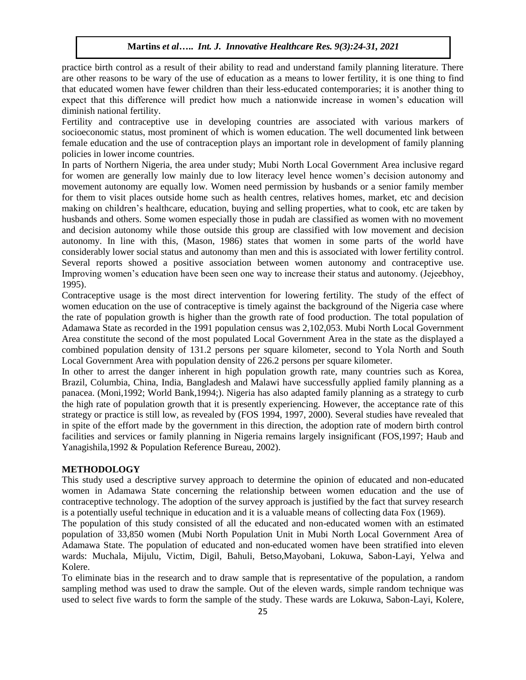practice birth control as a result of their ability to read and understand family planning literature. There are other reasons to be wary of the use of education as a means to lower fertility, it is one thing to find that educated women have fewer children than their less-educated contemporaries; it is another thing to expect that this difference will predict how much a nationwide increase in women's education will diminish national fertility.

Fertility and contraceptive use in developing countries are associated with various markers of socioeconomic status, most prominent of which is women education. The well documented link between female education and the use of contraception plays an important role in development of family planning policies in lower income countries.

In parts of Northern Nigeria, the area under study; Mubi North Local Government Area inclusive regard for women are generally low mainly due to low literacy level hence women's decision autonomy and movement autonomy are equally low. Women need permission by husbands or a senior family member for them to visit places outside home such as health centres, relatives homes, market, etc and decision making on children's healthcare, education, buying and selling properties, what to cook, etc are taken by husbands and others. Some women especially those in pudah are classified as women with no movement and decision autonomy while those outside this group are classified with low movement and decision autonomy. In line with this, (Mason, 1986) states that women in some parts of the world have considerably lower social status and autonomy than men and this is associated with lower fertility control. Several reports showed a positive association between women autonomy and contraceptive use. Improving women's education have been seen one way to increase their status and autonomy. (Jejeebhoy, 1995).

Contraceptive usage is the most direct intervention for lowering fertility. The study of the effect of women education on the use of contraceptive is timely against the background of the Nigeria case where the rate of population growth is higher than the growth rate of food production. The total population of Adamawa State as recorded in the 1991 population census was 2,102,053. Mubi North Local Government Area constitute the second of the most populated Local Government Area in the state as the displayed a combined population density of 131.2 persons per square kilometer, second to Yola North and South Local Government Area with population density of 226.2 persons per square kilometer.

In other to arrest the danger inherent in high population growth rate, many countries such as Korea, Brazil, Columbia, China, India, Bangladesh and Malawi have successfully applied family planning as a panacea. (Moni,1992; World Bank,1994;). Nigeria has also adapted family planning as a strategy to curb the high rate of population growth that it is presently experiencing. However, the acceptance rate of this strategy or practice is still low, as revealed by (FOS 1994, 1997, 2000). Several studies have revealed that in spite of the effort made by the government in this direction, the adoption rate of modern birth control facilities and services or family planning in Nigeria remains largely insignificant (FOS,1997; Haub and Yanagishila,1992 & Population Reference Bureau, 2002).

#### **METHODOLOGY**

This study used a descriptive survey approach to determine the opinion of educated and non-educated women in Adamawa State concerning the relationship between women education and the use of contraceptive technology. The adoption of the survey approach is justified by the fact that survey research is a potentially useful technique in education and it is a valuable means of collecting data Fox (1969).

The population of this study consisted of all the educated and non-educated women with an estimated population of 33,850 women (Mubi North Population Unit in Mubi North Local Government Area of Adamawa State. The population of educated and non-educated women have been stratified into eleven wards: Muchala, Mijulu, Victim, Digil, Bahuli, Betso,Mayobani, Lokuwa, Sabon-Layi, Yelwa and Kolere.

To eliminate bias in the research and to draw sample that is representative of the population, a random sampling method was used to draw the sample. Out of the eleven wards, simple random technique was used to select five wards to form the sample of the study. These wards are Lokuwa, Sabon-Layi, Kolere,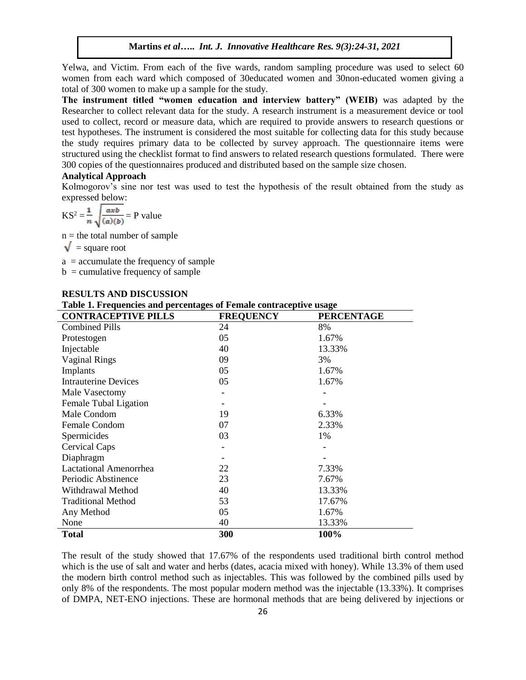Yelwa, and Victim. From each of the five wards, random sampling procedure was used to select 60 women from each ward which composed of 30educated women and 30non-educated women giving a total of 300 women to make up a sample for the study.

**The instrument titled "women education and interview battery" (WEIB)** was adapted by the Researcher to collect relevant data for the study. A research instrument is a measurement device or tool used to collect, record or measure data, which are required to provide answers to research questions or test hypotheses. The instrument is considered the most suitable for collecting data for this study because the study requires primary data to be collected by survey approach. The questionnaire items were structured using the checklist format to find answers to related research questions formulated. There were 300 copies of the questionnaires produced and distributed based on the sample size chosen.

# **Analytical Approach**

Kolmogorov's sine nor test was used to test the hypothesis of the result obtained from the study as expressed below:

$$
KS^{2} = \frac{1}{n} \sqrt{\frac{axb}{(a)(b)}} = P \text{ value}
$$

 $n =$  the total number of sample

 $\sqrt{\ }$  = square root

 $a =$  accumulate the frequency of sample

 $b =$  cumulative frequency of sample

| Table 1. Frequencies and percentages of Female contraceptive usage |                  |                   |  |  |  |  |  |  |
|--------------------------------------------------------------------|------------------|-------------------|--|--|--|--|--|--|
| <b>CONTRACEPTIVE PILLS</b>                                         | <b>FREQUENCY</b> | <b>PERCENTAGE</b> |  |  |  |  |  |  |
| <b>Combined Pills</b>                                              | 24               | 8%                |  |  |  |  |  |  |
| Protestogen                                                        | 05               | 1.67%             |  |  |  |  |  |  |
| Injectable                                                         | 40               | 13.33%            |  |  |  |  |  |  |
| <b>Vaginal Rings</b>                                               | 09               | 3%                |  |  |  |  |  |  |
| Implants                                                           | 05               | 1.67%             |  |  |  |  |  |  |
| <b>Intrauterine Devices</b>                                        | 05               | 1.67%             |  |  |  |  |  |  |
| Male Vasectomy                                                     |                  |                   |  |  |  |  |  |  |
| Female Tubal Ligation                                              |                  |                   |  |  |  |  |  |  |
| Male Condom                                                        | 19               | 6.33%             |  |  |  |  |  |  |
| Female Condom                                                      | 07               | 2.33%             |  |  |  |  |  |  |
| Spermicides                                                        | 03               | 1%                |  |  |  |  |  |  |
| <b>Cervical Caps</b>                                               |                  |                   |  |  |  |  |  |  |
| Diaphragm                                                          |                  |                   |  |  |  |  |  |  |
| <b>Lactational Amenorrhea</b>                                      | 22               | 7.33%             |  |  |  |  |  |  |
| Periodic Abstinence                                                | 23               | 7.67%             |  |  |  |  |  |  |
| Withdrawal Method                                                  | 40               | 13.33%            |  |  |  |  |  |  |
| <b>Traditional Method</b>                                          | 53               | 17.67%            |  |  |  |  |  |  |
| Any Method                                                         | 05               | 1.67%             |  |  |  |  |  |  |
| None                                                               | 40               | 13.33%            |  |  |  |  |  |  |
| <b>Total</b>                                                       | 300              | 100%              |  |  |  |  |  |  |

### **RESULTS AND DISCUSSION**

The result of the study showed that 17.67% of the respondents used traditional birth control method which is the use of salt and water and herbs (dates, acacia mixed with honey). While 13.3% of them used the modern birth control method such as injectables. This was followed by the combined pills used by only 8% of the respondents. The most popular modern method was the injectable (13.33%). It comprises of DMPA, NET-ENO injections. These are hormonal methods that are being delivered by injections or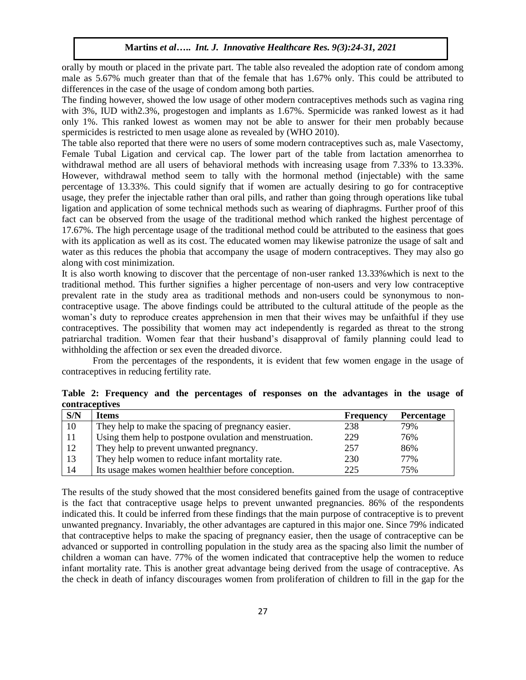orally by mouth or placed in the private part. The table also revealed the adoption rate of condom among male as 5.67% much greater than that of the female that has 1.67% only. This could be attributed to differences in the case of the usage of condom among both parties.

The finding however, showed the low usage of other modern contraceptives methods such as vagina ring with 3%, IUD with2.3%, progestogen and implants as 1.67%. Spermicide was ranked lowest as it had only 1%. This ranked lowest as women may not be able to answer for their men probably because spermicides is restricted to men usage alone as revealed by (WHO 2010).

The table also reported that there were no users of some modern contraceptives such as, male Vasectomy, Female Tubal Ligation and cervical cap. The lower part of the table from lactation amenorrhea to withdrawal method are all users of behavioral methods with increasing usage from 7.33% to 13.33%. However, withdrawal method seem to tally with the hormonal method (injectable) with the same percentage of 13.33%. This could signify that if women are actually desiring to go for contraceptive usage, they prefer the injectable rather than oral pills, and rather than going through operations like tubal ligation and application of some technical methods such as wearing of diaphragms. Further proof of this fact can be observed from the usage of the traditional method which ranked the highest percentage of 17.67%. The high percentage usage of the traditional method could be attributed to the easiness that goes with its application as well as its cost. The educated women may likewise patronize the usage of salt and water as this reduces the phobia that accompany the usage of modern contraceptives. They may also go along with cost minimization.

It is also worth knowing to discover that the percentage of non-user ranked 13.33%which is next to the traditional method. This further signifies a higher percentage of non-users and very low contraceptive prevalent rate in the study area as traditional methods and non-users could be synonymous to noncontraceptive usage. The above findings could be attributed to the cultural attitude of the people as the woman's duty to reproduce creates apprehension in men that their wives may be unfaithful if they use contraceptives. The possibility that women may act independently is regarded as threat to the strong patriarchal tradition. Women fear that their husband's disapproval of family planning could lead to withholding the affection or sex even the dreaded divorce.

From the percentages of the respondents, it is evident that few women engage in the usage of contraceptives in reducing fertility rate.

| S/N | <b>Items</b>                                            | <b>Frequency</b> | <b>Percentage</b> |
|-----|---------------------------------------------------------|------------------|-------------------|
| 10  | They help to make the spacing of pregnancy easier.      | 238              | 79%               |
| 11  | Using them help to postpone ovulation and menstruation. | 229              | 76%               |
| 12  | They help to prevent unwanted pregnancy.                | 257              | 86%               |
| 13  | They help women to reduce infant mortality rate.        | 230              | 77%               |
| 14  | Its usage makes women healthier before conception.      | 225              | 75%               |

**Table 2: Frequency and the percentages of responses on the advantages in the usage of contraceptives**

The results of the study showed that the most considered benefits gained from the usage of contraceptive is the fact that contraceptive usage helps to prevent unwanted pregnancies. 86% of the respondents indicated this. It could be inferred from these findings that the main purpose of contraceptive is to prevent unwanted pregnancy. Invariably, the other advantages are captured in this major one. Since 79% indicated that contraceptive helps to make the spacing of pregnancy easier, then the usage of contraceptive can be advanced or supported in controlling population in the study area as the spacing also limit the number of children a woman can have. 77% of the women indicated that contraceptive help the women to reduce infant mortality rate. This is another great advantage being derived from the usage of contraceptive. As the check in death of infancy discourages women from proliferation of children to fill in the gap for the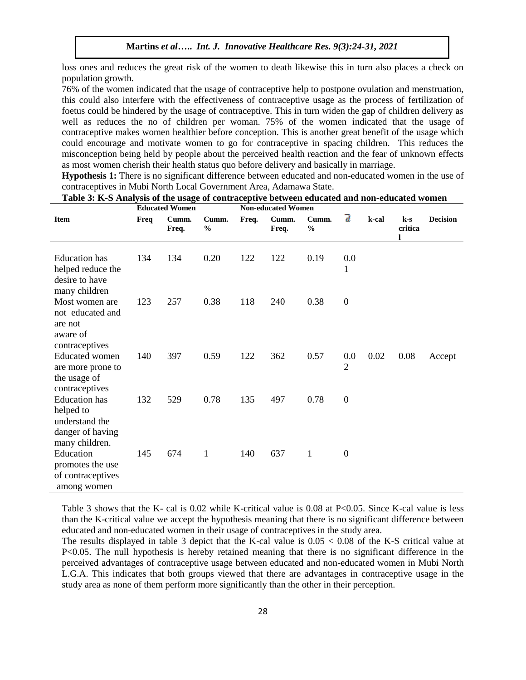loss ones and reduces the great risk of the women to death likewise this in turn also places a check on population growth.

76% of the women indicated that the usage of contraceptive help to postpone ovulation and menstruation, this could also interfere with the effectiveness of contraceptive usage as the process of fertilization of foetus could be hindered by the usage of contraceptive. This in turn widen the gap of children delivery as well as reduces the no of children per woman. 75% of the women indicated that the usage of contraceptive makes women healthier before conception. This is another great benefit of the usage which could encourage and motivate women to go for contraceptive in spacing children. This reduces the misconception being held by people about the perceived health reaction and the fear of unknown effects as most women cherish their health status quo before delivery and basically in marriage.

**Hypothesis 1:** There is no significant difference between educated and non-educated women in the use of contraceptives in Mubi North Local Government Area, Adamawa State.

| <b>Educated Women</b>                                                                     |      |                | <b>Non-educated Women</b> |       |                |                        |                           |       |                  |                 |
|-------------------------------------------------------------------------------------------|------|----------------|---------------------------|-------|----------------|------------------------|---------------------------|-------|------------------|-----------------|
| <b>Item</b>                                                                               | Freq | Cumm.<br>Freq. | Cumm.<br>$\%$             | Freq. | Cumm.<br>Freq. | Cumm.<br>$\frac{0}{0}$ | ā                         | k-cal | $k-s$<br>critica | <b>Decision</b> |
| <b>Education</b> has<br>helped reduce the<br>desire to have                               | 134  | 134            | 0.20                      | 122   | 122            | 0.19                   | $0.0\,$<br>1              |       |                  |                 |
| many children<br>Most women are<br>not educated and<br>are not<br>aware of                | 123  | 257            | 0.38                      | 118   | 240            | 0.38                   | $\boldsymbol{0}$          |       |                  |                 |
| contraceptives<br><b>Educated</b> women<br>are more prone to<br>the usage of              | 140  | 397            | 0.59                      | 122   | 362            | 0.57                   | $0.0\,$<br>$\overline{2}$ | 0.02  | 0.08             | Accept          |
| contraceptives<br><b>Education</b> has<br>helped to<br>understand the<br>danger of having | 132  | 529            | 0.78                      | 135   | 497            | 0.78                   | $\boldsymbol{0}$          |       |                  |                 |
| many children.<br>Education<br>promotes the use<br>of contraceptives<br>among women       | 145  | 674            | 1                         | 140   | 637            | 1                      | $\overline{0}$            |       |                  |                 |

**Table 3: K-S Analysis of the usage of contraceptive between educated and non-educated women**

Table 3 shows that the K- cal is 0.02 while K-critical value is 0.08 at P<0.05. Since K-cal value is less than the K-critical value we accept the hypothesis meaning that there is no significant difference between educated and non-educated women in their usage of contraceptives in the study area.

The results displayed in table 3 depict that the K-cal value is 0.05 < 0.08 of the K-S critical value at P<0.05. The null hypothesis is hereby retained meaning that there is no significant difference in the perceived advantages of contraceptive usage between educated and non-educated women in Mubi North L.G.A. This indicates that both groups viewed that there are advantages in contraceptive usage in the study area as none of them perform more significantly than the other in their perception.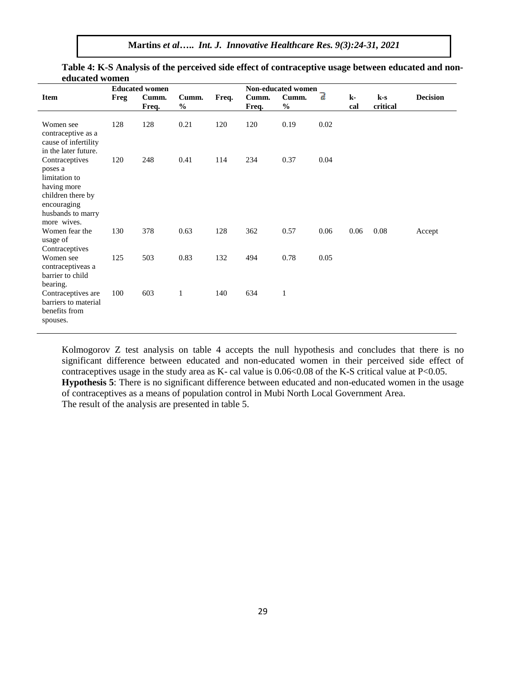**Martins** *et al***…..** *Int. J. Innovative Healthcare Res. 9(3):24-31, 2021*

|                                                                                                                                   | <b>Educated women</b> |                |                        |       |                | Non-educated women     |      |           |                   |                 |
|-----------------------------------------------------------------------------------------------------------------------------------|-----------------------|----------------|------------------------|-------|----------------|------------------------|------|-----------|-------------------|-----------------|
| <b>Item</b>                                                                                                                       | Freg                  | Cumm.<br>Freq. | Cumm.<br>$\frac{1}{2}$ | Freq. | Cumm.<br>Freq. | Cumm.<br>$\frac{0}{0}$ | 7    | k-<br>cal | $k-s$<br>critical | <b>Decision</b> |
| Women see<br>contraceptive as a<br>cause of infertility<br>in the later future.                                                   | 128                   | 128            | 0.21                   | 120   | 120            | 0.19                   | 0.02 |           |                   |                 |
| Contraceptives<br>poses a<br>limitation to<br>having more<br>children there by<br>encouraging<br>husbands to marry<br>more wives. | 120                   | 248            | 0.41                   | 114   | 234            | 0.37                   | 0.04 |           |                   |                 |
| Women fear the<br>usage of<br>Contraceptives                                                                                      | 130                   | 378            | 0.63                   | 128   | 362            | 0.57                   | 0.06 | 0.06      | 0.08              | Accept          |
| Women see<br>contraceptiveas a<br>barrier to child<br>bearing.                                                                    | 125                   | 503            | 0.83                   | 132   | 494            | 0.78                   | 0.05 |           |                   |                 |
| Contraceptives are<br>barriers to material<br>benefits from<br>spouses.                                                           | 100                   | 603            | $\mathbf{1}$           | 140   | 634            | 1                      |      |           |                   |                 |

# **Table 4: K-S Analysis of the perceived side effect of contraceptive usage between educated and noneducated women**

Kolmogorov Z test analysis on table 4 accepts the null hypothesis and concludes that there is no significant difference between educated and non-educated women in their perceived side effect of contraceptives usage in the study area as K- cal value is  $0.06<0.08$  of the K-S critical value at P<0.05. **Hypothesis 5**: There is no significant difference between educated and non-educated women in the usage of contraceptives as a means of population control in Mubi North Local Government Area. The result of the analysis are presented in table 5.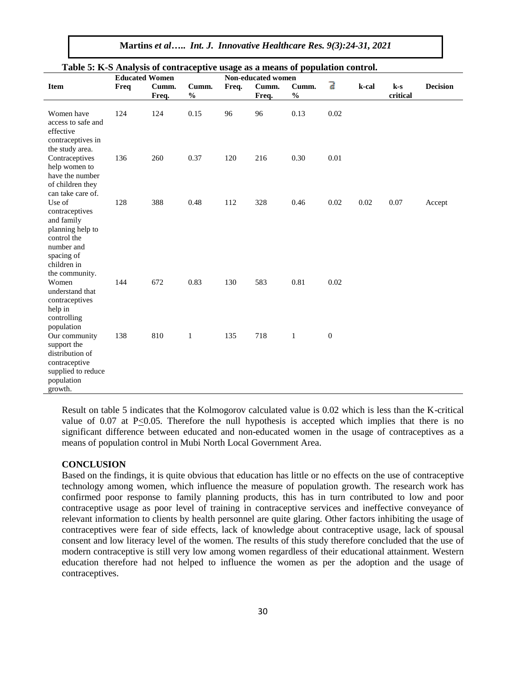**Martins** *et al***…..** *Int. J. Innovative Healthcare Res. 9(3):24-31, 2021*

|                                                                                                                                        | <b>Educated Women</b> | If D Hender, DED OF COMME NEC |                        | $\frac{1}{2}$ $\frac{1}{2}$ and $\frac{1}{2}$ and $\frac{1}{2}$ and $\frac{1}{2}$<br><u>anation control,</u><br>Non-educated women |                |                        |                |       |                   |                 |
|----------------------------------------------------------------------------------------------------------------------------------------|-----------------------|-------------------------------|------------------------|------------------------------------------------------------------------------------------------------------------------------------|----------------|------------------------|----------------|-------|-------------------|-----------------|
| <b>Item</b>                                                                                                                            | Freq                  | Cumm.<br>Freq.                | Cumm.<br>$\frac{0}{0}$ | Freq.                                                                                                                              | Cumm.<br>Freq. | Cumm.<br>$\frac{0}{0}$ | $\overline{d}$ | k-cal | $k-s$<br>critical | <b>Decision</b> |
| Women have<br>access to safe and<br>effective<br>contraceptives in<br>the study area.                                                  | 124                   | 124                           | 0.15                   | 96                                                                                                                                 | 96             | 0.13                   | 0.02           |       |                   |                 |
| Contraceptives<br>help women to<br>have the number<br>of children they<br>can take care of.                                            | 136                   | 260                           | 0.37                   | 120                                                                                                                                | 216            | 0.30                   | 0.01           |       |                   |                 |
| Use of<br>contraceptives<br>and family<br>planning help to<br>control the<br>number and<br>spacing of<br>children in<br>the community. | 128                   | 388                           | 0.48                   | 112                                                                                                                                | 328            | 0.46                   | 0.02           | 0.02  | 0.07              | Accept          |
| Women<br>understand that<br>contraceptives<br>help in<br>controlling<br>population                                                     | 144                   | 672                           | 0.83                   | 130                                                                                                                                | 583            | 0.81                   | 0.02           |       |                   |                 |
| Our community<br>support the<br>distribution of<br>contraceptive<br>supplied to reduce<br>population<br>growth.                        | 138                   | 810                           | $\mathbf{1}$           | 135                                                                                                                                | 718            | $\mathbf{1}$           | $\mathbf{0}$   |       |                   |                 |

## **Table 5: K-S Analysis of contraceptive usage as a means of population control.**

Result on table 5 indicates that the Kolmogorov calculated value is 0.02 which is less than the K-critical value of 0.07 at P<0.05. Therefore the null hypothesis is accepted which implies that there is no significant difference between educated and non-educated women in the usage of contraceptives as a means of population control in Mubi North Local Government Area.

### **CONCLUSION**

Based on the findings, it is quite obvious that education has little or no effects on the use of contraceptive technology among women, which influence the measure of population growth. The research work has confirmed poor response to family planning products, this has in turn contributed to low and poor contraceptive usage as poor level of training in contraceptive services and ineffective conveyance of relevant information to clients by health personnel are quite glaring. Other factors inhibiting the usage of contraceptives were fear of side effects, lack of knowledge about contraceptive usage, lack of spousal consent and low literacy level of the women. The results of this study therefore concluded that the use of modern contraceptive is still very low among women regardless of their educational attainment. Western education therefore had not helped to influence the women as per the adoption and the usage of contraceptives.